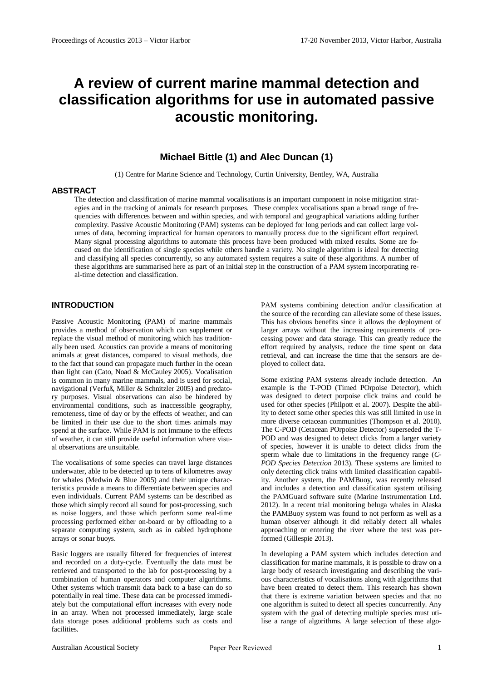# **A review of current marine mammal detection and classification algorithms for use in automated passive acoustic monitoring.**

# **Michael Bittle (1) and Alec Duncan (1)**

(1) Centre for Marine Science and Technology, Curtin University, Bentley, WA, Australia

#### **ABSTRACT**

The detection and classification of marine mammal vocalisations is an important component in noise mitigation strategies and in the tracking of animals for research purposes. These complex vocalisations span a broad range of frequencies with differences between and within species, and with temporal and geographical variations adding further complexity. Passive Acoustic Monitoring (PAM) systems can be deployed for long periods and can collect large volumes of data, becoming impractical for human operators to manually process due to the significant effort required. Many signal processing algorithms to automate this process have been produced with mixed results. Some are focused on the identification of single species while others handle a variety. No single algorithm is ideal for detecting and classifying all species concurrently, so any automated system requires a suite of these algorithms. A number of these algorithms are summarised here as part of an initial step in the construction of a PAM system incorporating real-time detection and classification.

# **INTRODUCTION**

Passive Acoustic Monitoring (PAM) of marine mammals provides a method of observation which can supplement or replace the visual method of monitoring which has traditionally been used. Acoustics can provide a means of monitoring animals at great distances, compared to visual methods, due to the fact that sound can propagate much further in the ocean than light can [\(Cato, Noad & McCauley 2005\)](#page-5-0). Vocalisation is common in many marine mammals, and is used for social, navigational [\(Verfuß, Miller & Schnitzler 2005\)](#page-6-0) and predatory purposes. Visual observations can also be hindered by environmental conditions, such as inaccessible geography, remoteness, time of day or by the effects of weather, and can be limited in their use due to the short times animals may spend at the surface. While PAM is not immune to the effects of weather, it can still provide useful information where visual observations are unsuitable.

The vocalisations of some species can travel large distances underwater, able to be detected up to tens of kilometres away for whales [\(Medwin & Blue 2005\)](#page-5-1) and their unique characteristics provide a means to differentiate between species and even individuals. Current PAM systems can be described as those which simply record all sound for post-processing, such as noise loggers, and those which perform some real-time processing performed either on-board or by offloading to a separate computing system, such as in cabled hydrophone arrays or sonar buoys.

Basic loggers are usually filtered for frequencies of interest and recorded on a duty-cycle. Eventually the data must be retrieved and transported to the lab for post-processing by a combination of human operators and computer algorithms. Other systems which transmit data back to a base can do so potentially in real time. These data can be processed immediately but the computational effort increases with every node in an array. When not processed immediately, large scale data storage poses additional problems such as costs and facilities.

PAM systems combining detection and/or classification at the source of the recording can alleviate some of these issues. This has obvious benefits since it allows the deployment of larger arrays without the increasing requirements of processing power and data storage. This can greatly reduce the effort required by analysts, reduce the time spent on data retrieval, and can increase the time that the sensors are deployed to collect data.

Some existing PAM systems already include detection. An example is the T-POD (Timed POrpoise Detector), which was designed to detect porpoise click trains and could be used for other species [\(Philpott et al. 2007\)](#page-6-1). Despite the ability to detect some other species this was still limited in use in more diverse cetacean communities [\(Thompson et al. 2010\)](#page-6-2). The C-POD (Cetacean POrpoise Detector) superseded the T-POD and was designed to detect clicks from a larger variety of species, however it is unable to detect clicks from the sperm whale due to limitations in the frequency range (*[C-](#page-5-2)[POD Species Detection](#page-5-2)* 2013). These systems are limited to only detecting click trains with limited classification capability. Another system, the PAMBuoy, was recently released and includes a detection and classification system utilising the PAMGuard software suite [\(Marine Instrumentation Ltd.](#page-5-3)  [2012\)](#page-5-3). In a recent trial monitoring beluga whales in Alaska the PAMBuoy system was found to not perform as well as a human observer although it did reliably detect all whales approaching or entering the river where the test was performed [\(Gillespie 2013\)](#page-5-4).

In developing a PAM system which includes detection and classification for marine mammals, it is possible to draw on a large body of research investigating and describing the various characteristics of vocalisations along with algorithms that have been created to detect them. This research has shown that there is extreme variation between species and that no one algorithm is suited to detect all species concurrently. Any system with the goal of detecting multiple species must utilise a range of algorithms. A large selection of these algo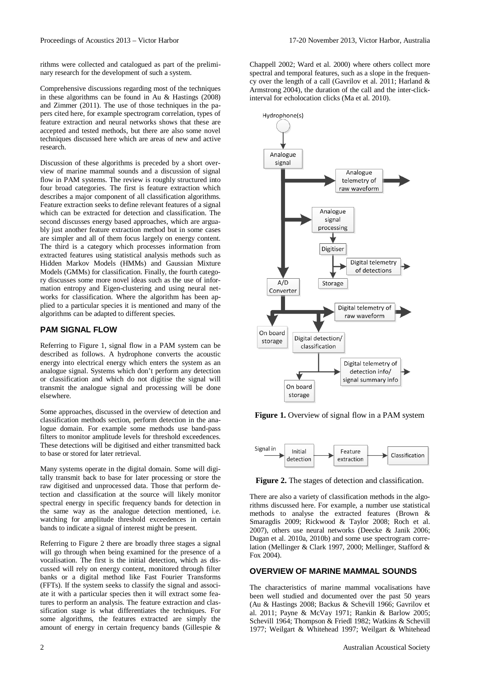rithms were collected and catalogued as part of the preliminary research for the development of such a system.

Comprehensive discussions regarding most of the techniques in these algorithms can be found in [Au & Hastings \(2008\)](#page-5-5) and [Zimmer \(2011\)](#page-7-0). The use of those techniques in the papers cited here, for example spectrogram correlation, types of feature extraction and neural networks shows that these are accepted and tested methods, but there are also some novel techniques discussed here which are areas of new and active research.

Discussion of these algorithms is preceded by a short overview of marine mammal sounds and a discussion of signal flow in PAM systems. The review is roughly structured into four broad categories. The first is feature extraction which describes a major component of all classification algorithms. Feature extraction seeks to define relevant features of a signal which can be extracted for detection and classification. The second discusses energy based approaches, which are arguably just another feature extraction method but in some cases are simpler and all of them focus largely on energy content. The third is a category which processes information from extracted features using statistical analysis methods such as Hidden Markov Models (HMMs) and Gaussian Mixture Models (GMMs) for classification. Finally, the fourth category discusses some more novel ideas such as the use of information entropy and Eigen-clustering and using neural networks for classification. Where the algorithm has been applied to a particular species it is mentioned and many of the algorithms can be adapted to different species.

#### **PAM SIGNAL FLOW**

Referring to [Figure 1,](#page-1-0) signal flow in a PAM system can be described as follows. A hydrophone converts the acoustic energy into electrical energy which enters the system as an analogue signal. Systems which don't perform any detection or classification and which do not digitise the signal will transmit the analogue signal and processing will be done elsewhere.

Some approaches, discussed in the overview of detection and classification methods section, perform detection in the analogue domain. For example some methods use band-pass filters to monitor amplitude levels for threshold exceedences. These detections will be digitised and either transmitted back to base or stored for later retrieval.

Many systems operate in the digital domain. Some will digitally transmit back to base for later processing or store the raw digitised and unprocessed data. Those that perform detection and classification at the source will likely monitor spectral energy in specific frequency bands for detection in the same way as the analogue detection mentioned, i.e. watching for amplitude threshold exceedences in certain bands to indicate a signal of interest might be present.

Referring to [Figure 2](#page-1-1) there are broadly three stages a signal will go through when being examined for the presence of a vocalisation. The first is the initial detection, which as discussed will rely on energy content, monitored through filter banks or a digital method like Fast Fourier Transforms (FFTs). If the system seeks to classify the signal and associate it with a particular species then it will extract some features to perform an analysis. The feature extraction and classification stage is what differentiates the techniques. For some algorithms, the features extracted are simply the amount of energy in certain frequency bands [\(Gillespie &](#page-5-6) 

[Chappell 2002;](#page-5-6) [Ward et al. 2000\)](#page-6-3) where others collect more spectral and temporal features, such as a slope in the frequency over the length of a call [\(Gavrilov et al. 2011;](#page-5-7) [Harland &](#page-5-8)  [Armstrong 2004\)](#page-5-8), the duration of the call and the inter-clickinterval for echolocation clicks [\(Ma et al. 2010\)](#page-5-9).



<span id="page-1-0"></span>**Figure 1.** Overview of signal flow in a PAM system



<span id="page-1-1"></span>**Figure 2.** The stages of detection and classification.

There are also a variety of classification methods in the algorithms discussed here. For example, a number use statistical methods to analyse the extracted features [\(Brown &](#page-5-10)  [Smaragdis 2009;](#page-5-10) [Rickwood & Taylor 2008;](#page-6-4) [Roch et al.](#page-6-5)  [2007\)](#page-6-5), others use neural networks [\(Deecke & Janik 2006;](#page-5-11) [Dugan et al. 2010a,](#page-5-12) [2010b\)](#page-5-13) and some use spectrogram correlation [\(Mellinger & Clark 1997,](#page-6-6) [2000;](#page-6-7) [Mellinger, Stafford &](#page-6-8)  [Fox 2004\)](#page-6-8).

## **OVERVIEW OF MARINE MAMMAL SOUNDS**

The characteristics of marine mammal vocalisations have been well studied and documented over the past 50 years [\(Au & Hastings 2008;](#page-5-5) [Backus & Schevill 1966;](#page-5-14) [Gavrilov et](#page-5-7)  [al. 2011;](#page-5-7) [Payne & McVay 1971;](#page-6-9) [Rankin & Barlow 2005;](#page-6-10) [Schevill 1964;](#page-6-11) [Thompson & Friedl 1982;](#page-6-12) [Watkins & Schevill](#page-6-13)  [1977;](#page-6-13) [Weilgart & Whitehead 1997;](#page-6-14) [Weilgart & Whitehead](#page-6-15)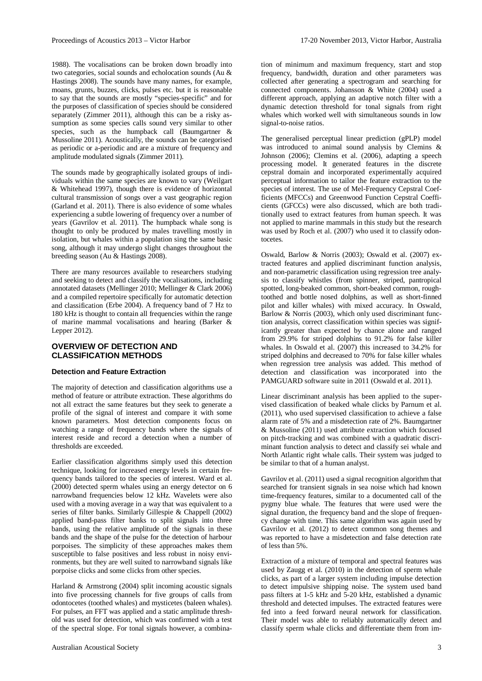[1988\)](#page-6-15). The vocalisations can be broken down broadly into two categories, social sounds and echolocation sounds [\(Au &](#page-5-5)  [Hastings 2008\)](#page-5-5). The sounds have many names, for example, moans, grunts, buzzes, clicks, pulses etc. but it is reasonable to say that the sounds are mostly "species-specific" and for the purposes of classification of species should be considered separately [\(Zimmer 2011\)](#page-7-0), although this can be a risky assumption as some species calls sound very similar to other species, such as the humpback call [\(Baumgartner &](#page-5-15)  [Mussoline 2011\)](#page-5-15). Acoustically, the sounds can be categorised as periodic or a-periodic and are a mixture of frequency and amplitude modulated signals [\(Zimmer 2011\)](#page-7-0).

The sounds made by geographically isolated groups of individuals within the same species are known to vary [\(Weilgart](#page-6-14)  [& Whitehead 1997\)](#page-6-14), though there is evidence of horizontal cultural transmission of songs over a vast geographic region [\(Garland et al. 2011\)](#page-5-16). There is also evidence of some whales experiencing a subtle lowering of frequency over a number of years [\(Gavrilov et al. 2011\)](#page-5-7). The humpback whale song is thought to only be produced by males travelling mostly in isolation, but whales within a population sing the same basic song, although it may undergo slight changes throughout the breeding season [\(Au & Hastings 2008\)](#page-5-5).

There are many resources available to researchers studying and seeking to detect and classify the vocalisations, including annotated datasets [\(Mellinger 2010;](#page-6-16) [Mellinger & Clark 2006\)](#page-6-17) and a compiled repertoire specifically for automatic detection and classification [\(Erbe 2004\)](#page-5-17). A frequency band of 7 Hz to 180 kHz is thought to contain all frequencies within the range of marine mammal vocalisations and hearing [\(Barker &](#page-5-18)  [Lepper 2012\)](#page-5-18).

# **OVERVIEW OF DETECTION AND CLASSIFICATION METHODS**

#### **Detection and Feature Extraction**

The majority of detection and classification algorithms use a method of feature or attribute extraction. These algorithms do not all extract the same features but they seek to generate a profile of the signal of interest and compare it with some known parameters. Most detection components focus on watching a range of frequency bands where the signals of interest reside and record a detection when a number of thresholds are exceeded.

Earlier classification algorithms simply used this detection technique, looking for increased energy levels in certain frequency bands tailored to the species of interest. [Ward et al.](#page-6-3)  [\(2000\)](#page-6-3) detected sperm whales using an energy detector on 6 narrowband frequencies below 12 kHz. Wavelets were also used with a moving average in a way that was equivalent to a series of filter banks. Similarly [Gillespie & Chappell \(2002\)](#page-5-6) applied band-pass filter banks to split signals into three bands, using the relative amplitude of the signals in these bands and the shape of the pulse for the detection of harbour porpoises. The simplicity of these approaches makes them susceptible to false positives and less robust in noisy environments, but they are well suited to narrowband signals like porpoise clicks and some clicks from other species.

[Harland & Armstrong \(2004\)](#page-5-8) split incoming acoustic signals into five processing channels for five groups of calls from odontocetes (toothed whales) and mysticetes (baleen whales). For pulses, an FFT was applied and a static amplitude threshold was used for detection, which was confirmed with a test of the spectral slope. For tonal signals however, a combina-

tion of minimum and maximum frequency, start and stop frequency, bandwidth, duration and other parameters was collected after generating a spectrogram and searching for connected components. [Johansson & White \(2004\)](#page-5-19) used a different approach, applying an adaptive notch filter with a dynamic detection threshold for tonal signals from right whales which worked well with simultaneous sounds in low signal-to-noise ratios.

The generalised perceptual linear prediction (gPLP) model was introduced to animal sound analysis by [Clemins &](#page-5-20)  [Johnson \(2006\)](#page-5-20); [Clemins et al. \(2006\)](#page-5-21), adapting a speech processing model. It generated features in the discrete cepstral domain and incorporated experimentally acquired perceptual information to tailor the feature extraction to the species of interest. The use of Mel-Frequency Cepstral Coefficients (MFCCs) and Greenwood Function Cepstral Coefficients (GFCCs) were also discussed, which are both traditionally used to extract features from human speech. It was not applied to marine mammals in this study but the research was used by [Roch et al. \(2007\)](#page-6-5) who used it to classify odontocetes.

[Oswald, Barlow & Norris \(2003\)](#page-6-18); [Oswald et al. \(2007\)](#page-6-19) extracted features and applied discriminant function analysis, and non-parametric classification using regression tree analysis to classify whistles (from spinner, striped, pantropical spotted, long-beaked common, short-beaked common, roughtoothed and bottle nosed dolphins, as well as short-finned pilot and killer whales) with mixed accuracy. In [Oswald,](#page-6-18)  [Barlow & Norris \(2003\)](#page-6-18), which only used discriminant function analysis, correct classification within species was significantly greater than expected by chance alone and ranged from 29.9% for striped dolphins to 91.2% for false killer whales. In [Oswald et al. \(2007\)](#page-6-19) this increased to 34.2% for striped dolphins and decreased to 70% for false killer whales when regression tree analysis was added. This method of detection and classification was incorporated into the PAMGUARD software suite in 2011 [\(Oswald et al. 2011\)](#page-6-20).

Linear discriminant analysis has been applied to the supervised classification of beaked whale clicks by [Parnum et al.](#page-6-21)  [\(2011\)](#page-6-21), who used supervised classification to achieve a false alarm rate of 5% and a misdetection rate of 2%. [Baumgartner](#page-5-15)  [& Mussoline \(2011\)](#page-5-15) used attribute extraction which focused on pitch-tracking and was combined with a quadratic discriminant function analysis to detect and classify sei whale and North Atlantic right whale calls. Their system was judged to be similar to that of a human analyst.

[Gavrilov et al. \(2011\)](#page-5-7) used a signal recognition algorithm that searched for transient signals in sea noise which had known time-frequency features, similar to a documented call of the pygmy blue whale. The features that were used were the signal duration, the frequency band and the slope of frequency change with time. This same algorithm was again used by [Gavrilov et al. \(2012\)](#page-5-22) to detect common song themes and was reported to have a misdetection and false detection rate of less than 5%.

Extraction of a mixture of temporal and spectral features was used by [Zaugg et al. \(2010\)](#page-7-1) in the detection of sperm whale clicks, as part of a larger system including impulse detection to detect impulsive shipping noise. The system used band pass filters at 1-5 kHz and 5-20 kHz, established a dynamic threshold and detected impulses. The extracted features were fed into a feed forward neural network for classification. Their model was able to reliably automatically detect and classify sperm whale clicks and differentiate them from im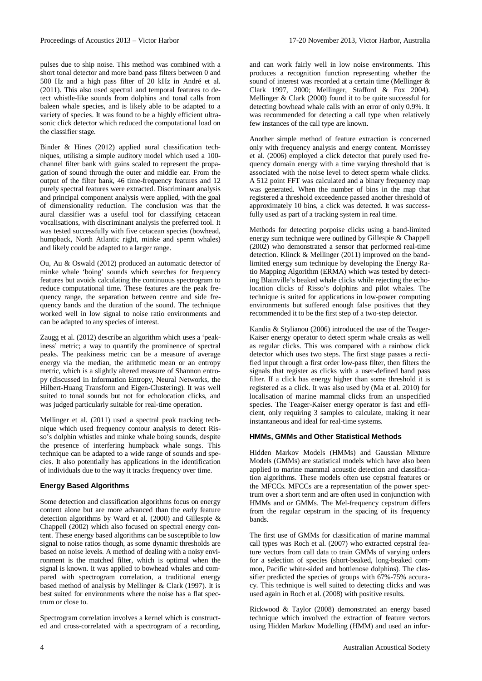pulses due to ship noise. This method was combined with a short tonal detector and more band pass filters between 0 and 500 Hz and a high pass filter of 20 kHz in [André et al.](#page-5-23)  [\(2011\)](#page-5-23). This also used spectral and temporal features to detect whistle-like sounds from dolphins and tonal calls from baleen whale species, and is likely able to be adapted to a variety of species. It was found to be a highly efficient ultrasonic click detector which reduced the computational load on the classifier stage.

[Binder & Hines \(2012\)](#page-5-24) applied aural classification techniques, utilising a simple auditory model which used a 100 channel filter bank with gains scaled to represent the propagation of sound through the outer and middle ear. From the output of the filter bank, 46 time-frequency features and 12 purely spectral features were extracted. Discriminant analysis and principal component analysis were applied, with the goal of dimensionality reduction. The conclusion was that the aural classifier was a useful tool for classifying cetacean vocalisations, with discriminant analysis the preferred tool. It was tested successfully with five cetacean species (bowhead, humpback, North Atlantic right, minke and sperm whales) and likely could be adapted to a larger range.

[Ou, Au & Oswald \(2012\)](#page-6-22) produced an automatic detector of minke whale 'boing' sounds which searches for frequency features but avoids calculating the continuous spectrogram to reduce computational time. These features are the peak frequency range, the separation between centre and side frequency bands and the duration of the sound. The technique worked well in low signal to noise ratio environments and can be adapted to any species of interest.

[Zaugg et al. \(2012\)](#page-6-23) describe an algorithm which uses a 'peakiness' metric; a way to quantify the prominence of spectral peaks. The peakiness metric can be a measure of average energy via the median, the arithmetic mean or an entropy metric, which is a slightly altered measure of Shannon entropy (discussed in Information Entropy, Neural Networks, the Hilbert-Huang Transform and Eigen-Clustering). It was well suited to tonal sounds but not for echolocation clicks, and was judged particularly suitable for real-time operation.

[Mellinger et al. \(2011\)](#page-6-24) used a spectral peak tracking technique which used frequency contour analysis to detect Risso's dolphin whistles and minke whale boing sounds, despite the presence of interfering humpback whale songs. This technique can be adapted to a wide range of sounds and species. It also potentially has applications in the identification of individuals due to the way it tracks frequency over time.

#### **Energy Based Algorithms**

Some detection and classification algorithms focus on energy content alone but are more advanced than the early feature detection algorithms by [Ward et al. \(2000\)](#page-6-3) and [Gillespie &](#page-5-6)  [Chappell](#page-5-6) (2002) which also focused on spectral energy content. These energy based algorithms can be susceptible to low signal to noise ratios though, as some dynamic thresholds are based on noise levels. A method of dealing with a noisy environment is the matched filter, which is optimal when the signal is known. It was applied to bowhead whales and compared with spectrogram correlation, a traditional energy based method of analysis by [Mellinger & Clark \(1997\)](#page-6-6). It is best suited for environments where the noise has a flat spectrum or close to.

Spectrogram correlation involves a kernel which is constructed and cross-correlated with a spectrogram of a recording, and can work fairly well in low noise environments. This produces a recognition function representing whether the sound of interest was recorded at a certain time [\(Mellinger &](#page-6-6)  [Clark 1997,](#page-6-6) [2000;](#page-6-7) [Mellinger, Stafford & Fox 2004\)](#page-6-8). [Mellinger & Clark \(2000\)](#page-6-7) found it to be quite successful for detecting bowhead whale calls with an error of only 0.9%. It was recommended for detecting a call type when relatively few instances of the call type are known.

Another simple method of feature extraction is concerned only with frequency analysis and energy content. [Morrissey](#page-6-25)  [et al. \(2006\)](#page-6-25) employed a click detector that purely used frequency domain energy with a time varying threshold that is associated with the noise level to detect sperm whale clicks. A 512 point FFT was calculated and a binary frequency map was generated. When the number of bins in the map that registered a threshold exceedence passed another threshold of approximately 10 bins, a click was detected. It was successfully used as part of a tracking system in real time.

Methods for detecting porpoise clicks using a band-limited energy sum technique were outlined b[y Gillespie & Chappell](#page-5-6)  [\(2002\)](#page-5-6) who demonstrated a sensor that performed real-time detection[. Klinck & Mellinger \(2011\)](#page-5-25) improved on the bandlimited energy sum technique by developing the Energy Ratio Mapping Algorithm (ERMA) which was tested by detecting Blainville's beaked whale clicks while rejecting the echolocation clicks of Risso's dolphins and pilot whales. The technique is suited for applications in low-power computing environments but suffered enough false positives that they recommended it to be the first step of a two-step detector.

[Kandia & Stylianou \(2006\)](#page-5-26) introduced the use of the Teager-Kaiser energy operator to detect sperm whale creaks as well as regular clicks. This was compared with a rainbow click detector which uses two steps. The first stage passes a rectified input through a first order low-pass filter, then filters the signals that register as clicks with a user-defined band pass filter. If a click has energy higher than some threshold it is registered as a click. It was also used by [\(Ma et al. 2010\)](#page-5-9) for localisation of marine mammal clicks from an unspecified species. The Teager-Kaiser energy operator is fast and efficient, only requiring 3 samples to calculate, making it near instantaneous and ideal for real-time systems.

#### **HMMs, GMMs and Other Statistical Methods**

Hidden Markov Models (HMMs) and Gaussian Mixture Models (GMMs) are statistical models which have also been applied to marine mammal acoustic detection and classification algorithms. These models often use cepstral features or the MFCCs. MFCCs are a representation of the power spectrum over a short term and are often used in conjunction with HMMs and or GMMs. The Mel-frequency cepstrum differs from the regular cepstrum in the spacing of its frequency bands.

The first use of GMMs for classification of marine mammal call types was [Roch et al. \(2007\)](#page-6-5) who extracted cepstral feature vectors from call data to train GMMs of varying orders for a selection of species (short-beaked, long-beaked common, Pacific white-sided and bottlenose dolphins). The classifier predicted the species of groups with 67%-75% accuracy. This technique is well suited to detecting clicks and was used again i[n Roch et al. \(2008\)](#page-6-26) with positive results.

[Rickwood & Taylor \(2008\)](#page-6-4) demonstrated an energy based technique which involved the extraction of feature vectors using Hidden Markov Modelling (HMM) and used an infor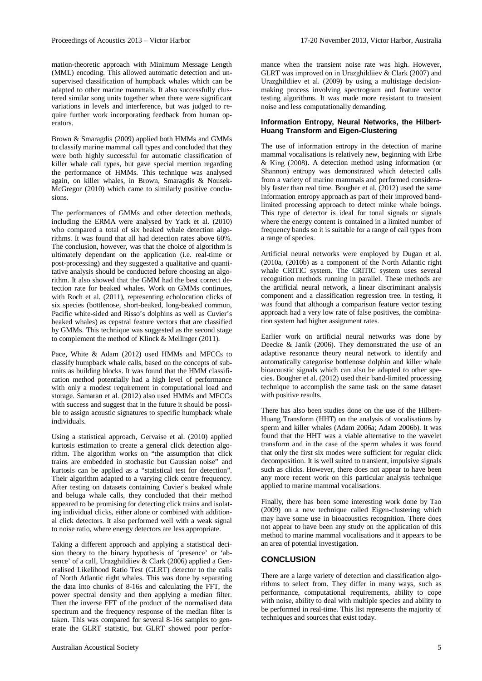mation-theoretic approach with Minimum Message Length (MML) encoding. This allowed automatic detection and unsupervised classification of humpback whales which can be adapted to other marine mammals. It also successfully clustered similar song units together when there were significant variations in levels and interference, but was judged to require further work incorporating feedback from human operators.

[Brown & Smaragdis \(2009\)](#page-5-10) applied both HMMs and GMMs to classify marine mammal call types and concluded that they were both highly successful for automatic classification of killer whale call types, but gave special mention regarding the performance of HMMs. This technique was analysed again, on killer whales, in [Brown, Smaragdis & Nousek-](#page-5-27)[McGregor \(2010\)](#page-5-27) which came to similarly positive conclusions.

The performances of GMMs and other detection methods, including the ERMA were analysed by [Yack et al. \(2010\)](#page-6-27) who compared a total of six beaked whale detection algorithms. It was found that all had detection rates above 60%. The conclusion, however, was that the choice of algorithm is ultimately dependant on the application (i.e. real-time or post-processing) and they suggested a qualitative and quantitative analysis should be conducted before choosing an algorithm. It also showed that the GMM had the best correct detection rate for beaked whales. Work on GMMs continues, with [Roch et al. \(2011\)](#page-6-28), representing echolocation clicks of six species (bottlenose, short-beaked, long-beaked common, Pacific white-sided and Risso's dolphins as well as Cuvier's beaked whales) as cepstral feature vectors that are classified by GMMs. This technique was suggested as the second stage to complement the method of [Klinck & Mellinger \(2011\)](#page-5-25).

[Pace, White & Adam \(2012\)](#page-6-29) used HMMs and MFCCs to classify humpback whale calls, based on the concepts of subunits as building blocks. It was found that the HMM classification method potentially had a high level of performance with only a modest requirement in computational load and storage. [Samaran et al. \(2012\)](#page-6-30) also used HMMs and MFCCs with success and suggest that in the future it should be possible to assign acoustic signatures to specific humpback whale individuals.

Using a statistical approach, [Gervaise et al. \(2010\)](#page-5-28) applied kurtosis estimation to create a general click detection algorithm. The algorithm works on "the assumption that click trains are embedded in stochastic but Gaussian noise" and kurtosis can be applied as a "statistical test for detection". Their algorithm adapted to a varying click centre frequency. After testing on datasets containing Cuvier's beaked whale and beluga whale calls, they concluded that their method appeared to be promising for detecting click trains and isolating individual clicks, either alone or combined with additional click detectors. It also performed well with a weak signal to noise ratio, where energy detectors are less appropriate.

Taking a different approach and applying a statistical decision theory to the binary hypothesis of 'presence' or 'ab-sence' of a call[, Urazghildiiev & Clark \(2006\)](#page-6-31) applied a Generalised Likelihood Ratio Test (GLRT) detector to the calls of North Atlantic right whales. This was done by separating the data into chunks of 8-16s and calculating the FFT, the power spectral density and then applying a median filter. Then the inverse FFT of the product of the normalised data spectrum and the frequency response of the median filter is taken. This was compared for several 8-16s samples to generate the GLRT statistic, but GLRT showed poor performance when the transient noise rate was high. However, GLRT was improved on in [Urazghildiiev & Clark \(2007\)](#page-6-32) and [Urazghildiiev et al. \(2009\)](#page-6-33) by using a multistage decisionmaking process involving spectrogram and feature vector testing algorithms. It was made more resistant to transient noise and less computationally demanding.

#### **Information Entropy, Neural Networks, the Hilbert-Huang Transform and Eigen-Clustering**

The use of information entropy in the detection of marine mammal vocalisations is relatively new, beginning with [Erbe](#page-5-29)  [& King \(2008\)](#page-5-29). A detection method using information (or Shannon) entropy was demonstrated which detected calls from a variety of marine mammals and performed considerably faster than real time. [Bougher et al. \(2012\)](#page-5-30) used the same information entropy approach as part of their improved bandlimited processing approach to detect minke whale boings. This type of detector is ideal for tonal signals or signals where the energy content is contained in a limited number of frequency bands so it is suitable for a range of call types from a range of species.

Artificial neural networks were employed by [Dugan et al.](#page-5-12)  [\(2010a,](#page-5-12) [\(2010b\)](#page-5-13) as a component of the North Atlantic right whale CRITIC system. The CRITIC system uses several recognition methods running in parallel. These methods are the artificial neural network, a linear discriminant analysis component and a classification regression tree. In testing, it was found that although a comparison feature vector testing approach had a very low rate of false positives, the combination system had higher assignment rates.

Earlier work on artificial neural networks was done by [Deecke & Janik \(2006\)](#page-5-11). They demonstrated the use of an adaptive resonance theory neural network to identify and automatically categorise bottlenose dolphin and killer whale bioacoustic signals which can also be adapted to other species. [Bougher et al. \(2012\)](#page-5-30) used their band-limited processing technique to accomplish the same task on the same dataset with positive results.

There has also been studies done on the use of the Hilbert-Huang Transform (HHT) on the analysis of vocalisations by sperm and killer whales [\(Adam 2006a;](#page-5-31) [Adam 2006b\)](#page-5-32). It was found that the HHT was a viable alternative to the wavelet transform and in the case of the sperm whales it was found that only the first six modes were sufficient for regular click decomposition. It is well suited to transient, impulsive signals such as clicks. However, there does not appear to have been any more recent work on this particular analysis technique applied to marine mammal vocalisations.

Finally, there has been some interesting work done by [Tao](#page-6-34)  [\(2009\)](#page-6-34) on a new technique called Eigen-clustering which may have some use in bioacoustics recognition. There does not appear to have been any study on the application of this method to marine mammal vocalisations and it appears to be an area of potential investigation.

#### **CONCLUSION**

There are a large variety of detection and classification algorithms to select from. They differ in many ways, such as performance, computational requirements, ability to cope with noise, ability to deal with multiple species and ability to be performed in real-time. This list represents the majority of techniques and sources that exist today.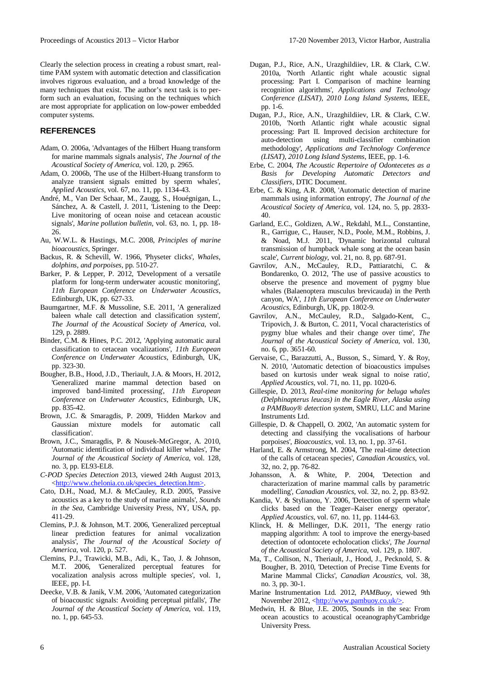Clearly the selection process in creating a robust smart, realtime PAM system with automatic detection and classification involves rigorous evaluation, and a broad knowledge of the many techniques that exist. The author's next task is to perform such an evaluation, focusing on the techniques which are most appropriate for application on low-power embedded computer systems.

# **REFERENCES**

- <span id="page-5-31"></span>Adam, O. 2006a, 'Advantages of the Hilbert Huang transform for marine mammals signals analysis', *The Journal of the Acoustical Society of America*, vol. 120, p. 2965.
- <span id="page-5-32"></span>Adam, O. 2006b, The use of the Hilbert-Huang transform to analyze transient signals emitted by sperm whales', *Applied Acoustics*, vol. 67, no. 11, pp. 1134-43.
- <span id="page-5-23"></span>André, M., Van Der Schaar, M., Zaugg, S., Houégnigan, L., Sánchez, A. & Castell, J. 2011, 'Listening to the Deep: Live monitoring of ocean noise and cetacean acoustic signals', *Marine pollution bulletin*, vol. 63, no. 1, pp. 18- 26.
- <span id="page-5-5"></span>Au, W.W.L. & Hastings, M.C. 2008, *Principles of marine bioacoustics*, Springer.
- <span id="page-5-14"></span>Backus, R. & Schevill, W. 1966, 'Physeter clicks', *Whales, dolphins, and porpoises*, pp. 510-27.
- <span id="page-5-18"></span>Barker, P. & Lepper, P. 2012, 'Development of a versatile platform for long-term underwater acoustic monitoring', *11th European Conference on Underwater Acoustics*, Edinburgh, UK, pp. 627-33.
- <span id="page-5-15"></span>Baumgartner, M.F. & Mussoline, S.E. 2011, 'A generalized baleen whale call detection and classification system', *The Journal of the Acoustical Society of America*, vol. 129, p. 2889.
- <span id="page-5-24"></span>Binder, C.M. & Hines, P.C. 2012, 'Applying automatic aural classification to cetacean vocalizations', *11th European Conference on Underwater Acoustics*, Edinburgh, UK, pp. 323-30.
- <span id="page-5-30"></span>Bougher, B.B., Hood, J.D., Theriault, J.A. & Moors, H. 2012, 'Generalized marine mammal detection based on improved band-limited processing', *11th European Conference on Underwater Acoustics*, Edinburgh, UK, pp. 835-42.
- <span id="page-5-10"></span>Brown, J.C. & Smaragdis, P. 2009, 'Hidden Markov and Gaussian mixture models for automatic call classification'.
- <span id="page-5-27"></span>Brown, J.C., Smaragdis, P. & Nousek-McGregor, A. 2010, 'Automatic identification of individual killer whales', *The Journal of the Acoustical Society of America*, vol. 128, no. 3, pp. EL93-EL8.
- <span id="page-5-2"></span>*C-POD Species Detection* 2013, viewed 24th August 2013, [<http://www.chelonia.co.uk/species\\_detection.htm>.](http://www.chelonia.co.uk/species_detection.htm%3e)
- <span id="page-5-0"></span>Cato, D.H., Noad, M.J. & McCauley, R.D. 2005, 'Passive acoustics as a key to the study of marine animals', *Sounds in the Sea*, Cambridge University Press, NY, USA, pp. 411-29.
- <span id="page-5-20"></span>Clemins, P.J. & Johnson, M.T. 2006, 'Generalized perceptual linear prediction features for animal vocalization analysis', *The Journal of the Acoustical Society of America*, vol. 120, p. 527.
- <span id="page-5-21"></span>Clemins, P.J., Trawicki, M.B., Adi, K., Tao, J. & Johnson, M.T. 2006, 'Generalized perceptual features for vocalization analysis across multiple species', vol. 1, IEEE, pp. I-I.
- <span id="page-5-11"></span>Deecke, V.B. & Janik, V.M. 2006, 'Automated categorization of bioacoustic signals: Avoiding perceptual pitfalls', *The Journal of the Acoustical Society of America*, vol. 119, no. 1, pp. 645-53.
- <span id="page-5-12"></span>Dugan, P.J., Rice, A.N., Urazghildiiev, I.R. & Clark, C.W. 2010a, 'North Atlantic right whale acoustic signal processing: Part I. Comparison of machine learning recognition algorithms', *Applications and Technology Conference (LISAT), 2010 Long Island Systems*, IEEE, pp. 1-6.
- <span id="page-5-13"></span>Dugan, P.J., Rice, A.N., Urazghildiiev, I.R. & Clark, C.W. 2010b, 'North Atlantic right whale acoustic signal processing: Part II. Improved decision architecture for auto-detection using multi-classifier combination methodology', *Applications and Technology Conference (LISAT), 2010 Long Island Systems*, IEEE, pp. 1-6.
- <span id="page-5-17"></span>Erbe, C. 2004, *The Acoustic Repertoire of Odontecetes as a Basis for Developing Automatic Detectors and Classifiers*, DTIC Document.
- <span id="page-5-29"></span>Erbe, C. & King, A.R. 2008, 'Automatic detection of marine mammals using information entropy', *The Journal of the Acoustical Society of America*, vol. 124, no. 5, pp. 2833- 40.
- <span id="page-5-16"></span>Garland, E.C., Goldizen, A.W., Rekdahl, M.L., Constantine, R., Garrigue, C., Hauser, N.D., Poole, M.M., Robbins, J. & Noad, M.J. 2011, 'Dynamic horizontal cultural transmission of humpback whale song at the ocean basin scale', *Current biology*, vol. 21, no. 8, pp. 687-91.
- <span id="page-5-22"></span>Gavrilov, A.N., McCauley, R.D., Pattiaratchi, C. & Bondarenko, O. 2012, 'The use of passive acoustics to observe the presence and movement of pygmy blue whales (Balaenoptera musculus brevicauda) in the Perth canyon, WA', *11th European Conference on Underwater Acoustics*, Edinburgh, UK, pp. 1802-9.
- <span id="page-5-7"></span>Gavrilov, A.N., McCauley, R.D., Salgado-Kent, C., Tripovich, J. & Burton, C. 2011, 'Vocal characteristics of pygmy blue whales and their change over time', *The Journal of the Acoustical Society of America*, vol. 130, no. 6, pp. 3651-60.
- <span id="page-5-28"></span>Gervaise, C., Barazzutti, A., Busson, S., Simard, Y. & Roy, N. 2010, 'Automatic detection of bioacoustics impulses based on kurtosis under weak signal to noise ratio', *Applied Acoustics*, vol. 71, no. 11, pp. 1020-6.
- <span id="page-5-4"></span>Gillespie, D. 2013, *Real-time monitoring for beluga whales (Delphinapterus leucas) in the Eagle River, Alaska using a PAMBuoy® detection system*, SMRU, LLC and Marine Instruments Ltd.
- <span id="page-5-6"></span>Gillespie, D. & Chappell, O. 2002, 'An automatic system for detecting and classifying the vocalisations of harbour porpoises', *Bioacoustics*, vol. 13, no. 1, pp. 37-61.
- <span id="page-5-8"></span>Harland, E. & Armstrong, M. 2004, The real-time detection of the calls of cetacean species', *Canadian Acoustics*, vol. 32, no. 2, pp. 76-82.
- <span id="page-5-19"></span>Johansson, A. & White, P. 2004, 'Detection and characterization of marine mammal calls by parametric modelling', *Canadian Acoustics*, vol. 32, no. 2, pp. 83-92.
- <span id="page-5-26"></span>Kandia, V. & Stylianou, Y. 2006, 'Detection of sperm whale clicks based on the Teager–Kaiser energy operator', *Applied Acoustics*, vol. 67, no. 11, pp. 1144-63.
- <span id="page-5-25"></span>Klinck, H. & Mellinger, D.K. 2011, The energy ratio mapping algorithm: A tool to improve the energy-based detection of odontocete echolocation clicks', *The Journal of the Acoustical Society of America*, vol. 129, p. 1807.
- <span id="page-5-9"></span>Ma, T., Collison, N., Theriault, J., Hood, J., Pecknold, S. & Bougher, B. 2010, 'Detection of Precise Time Events for Marine Mammal Clicks', *Canadian Acoustics*, vol. 38, no. 3, pp. 30-1.
- <span id="page-5-3"></span>Marine Instrumentation Ltd. 2012, *PAMBuoy*, viewed 9th November 2012, [<http://www.pambuoy.co.uk/>.](http://www.pambuoy.co.uk/%3e)
- <span id="page-5-1"></span>Medwin, H. & Blue, J.E. 2005, 'Sounds in the sea: From ocean acoustics to acoustical oceanography'Cambridge University Press.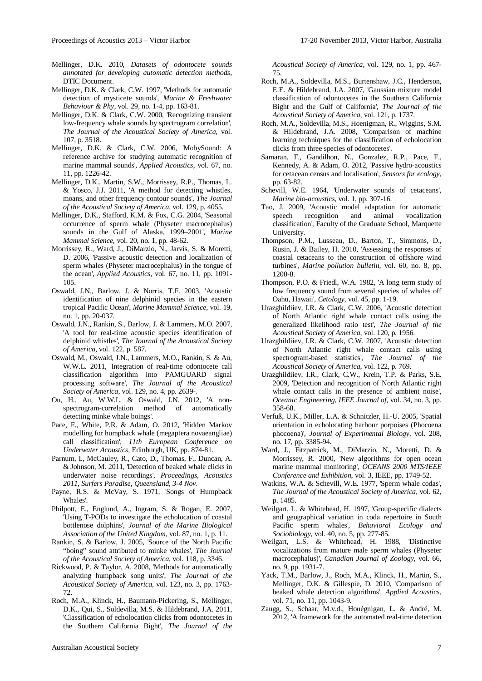- <span id="page-6-16"></span>Mellinger, D.K. 2010, *Datasets of odontocete sounds annotated for developing automatic detection methods*, DTIC Document.
- <span id="page-6-6"></span>Mellinger, D.K. & Clark, C.W. 1997, 'Methods for automatic detection of mysticete sounds', *Marine & Freshwater Behaviour & Phy*, vol. 29, no. 1-4, pp. 163-81.
- <span id="page-6-7"></span>Mellinger, D.K. & Clark, C.W. 2000, 'Recognizing transient low-frequency whale sounds by spectrogram correlation', *The Journal of the Acoustical Society of America*, vol. 107, p. 3518.
- <span id="page-6-17"></span>Mellinger, D.K. & Clark, C.W. 2006, 'MobySound: A reference archive for studying automatic recognition of marine mammal sounds', *Applied Acoustics*, vol. 67, no. 11, pp. 1226-42.
- <span id="page-6-24"></span>Mellinger, D.K., Martin, S.W., Morrissey, R.P., Thomas, L. & Yosco, J.J. 2011, 'A method for detecting whistles, moans, and other frequency contour sounds', *The Journal of the Acoustical Society of America*, vol. 129, p. 4055.
- <span id="page-6-8"></span>Mellinger, D.K., Stafford, K.M. & Fox, C.G. 2004, 'Seasonal occurrence of sperm whale (Physeter macrocephalus) sounds in the Gulf of Alaska, 1999–2001', *Marine Mammal Science*, vol. 20, no. 1, pp. 48-62.
- <span id="page-6-25"></span>Morrissey, R., Ward, J., DiMarzio, N., Jarvis, S. & Moretti, D. 2006, 'Passive acoustic detection and localization of sperm whales (Physeter macrocephalus) in the tongue of the ocean', *Applied Acoustics*, vol. 67, no. 11, pp. 1091- 105.
- <span id="page-6-18"></span>Oswald, J.N., Barlow, J. & Norris, T.F. 2003, 'Acoustic identification of nine delphinid species in the eastern tropical Pacific Ocean', *Marine Mammal Science*, vol. 19, no. 1, pp. 20-037.
- <span id="page-6-19"></span>Oswald, J.N., Rankin, S., Barlow, J. & Lammers, M.O. 2007, 'A tool for real-time acoustic species identification of delphinid whistles', *The Journal of the Acoustical Society of America*, vol. 122, p. 587.
- <span id="page-6-20"></span>Oswald, M., Oswald, J.N., Lammers, M.O., Rankin, S. & Au, W.W.L. 2011, 'Integration of real-time odontocete call classification algorithm into PAMGUARD signal processing software', *The Journal of the Acoustical Society of America*, vol. 129, no. 4, pp. 2639-.
- <span id="page-6-22"></span>Ou, H., Au, W.W.L. & Oswald, J.N. 2012, 'A nonspectrogram-correlation method of automatically detecting minke whale boings'.
- <span id="page-6-29"></span>Pace, F., White, P.R. & Adam, O. 2012, 'Hidden Markov modelling for humpback whale (megaptera novaeangliae) call classification', *11th European Conference on Underwater Acoustics*, Edinburgh, UK, pp. 874-81.
- <span id="page-6-21"></span>Parnum, I., McCauley, R., Cato, D., Thomas, F., Duncan, A. & Johnson, M. 2011, 'Detection of beaked whale clicks in underwater noise recordings', *Proceedings, Acoustics 2011, Surfers Paradise, Queensland, 3-4 Nov*.
- <span id="page-6-9"></span>Payne, R.S. & McVay, S. 1971, 'Songs of Humpback Whales'.
- <span id="page-6-1"></span>Philpott, E., Englund, A., Ingram, S. & Rogan, E. 2007, 'Using T-PODs to investigate the echolocation of coastal bottlenose dolphins', *Journal of the Marine Biological Association of the United Kingdom*, vol. 87, no. 1, p. 11.
- <span id="page-6-10"></span>Rankin, S. & Barlow, J. 2005, 'Source of the North Pacific "boing" sound attributed to minke whales', *The Journal of the Acoustical Society of America*, vol. 118, p. 3346.
- <span id="page-6-4"></span>Rickwood, P. & Taylor, A. 2008, 'Methods for automatically analyzing humpback song units', *The Journal of the Acoustical Society of America*, vol. 123, no. 3, pp. 1763- 72.
- <span id="page-6-28"></span>Roch, M.A., Klinck, H., Baumann-Pickering, S., Mellinger, D.K., Qui, S., Soldevilla, M.S. & Hildebrand, J.A. 2011, 'Classification of echolocation clicks from odontocetes in the Southern California Bight', *The Journal of the*

*Acoustical Society of America*, vol. 129, no. 1, pp. 467- 75.

- <span id="page-6-5"></span>Roch, M.A., Soldevilla, M.S., Burtenshaw, J.C., Henderson, E.E. & Hildebrand, J.A. 2007, 'Gaussian mixture model classification of odontocetes in the Southern California Bight and the Gulf of California', *The Journal of the Acoustical Society of America*, vol. 121, p. 1737.
- <span id="page-6-26"></span>Roch, M.A., Soldevilla, M.S., Hoenigman, R., Wiggins, S.M. & Hildebrand, J.A. 2008, 'Comparison of machine learning techniques for the classification of echolocation clicks from three species of odontocetes'.
- <span id="page-6-30"></span>Samaran, F., Gandilhon, N., Gonzalez, R.P., Pace, F., Kennedy, A. & Adam, O. 2012, Passive hydro-acoustics for cetacean census and localisation', *Sensors for ecology*, pp. 63-82.
- <span id="page-6-11"></span>Schevill, W.E. 1964, 'Underwater sounds of cetaceans', *Marine bio-acoustics*, vol. 1, pp. 307-16.
- <span id="page-6-34"></span>Tao, J. 2009, 'Acoustic model adaptation for automatic speech recognition and animal vocalization classification', Faculty of the Graduate School, Marquette University.
- <span id="page-6-2"></span>Thompson, P.M., Lusseau, D., Barton, T., Simmons, D., Rusin, J. & Bailey, H. 2010, 'Assessing the responses of coastal cetaceans to the construction of offshore wind turbines', *Marine pollution bulletin*, vol. 60, no. 8, pp. 1200-8.
- <span id="page-6-12"></span>Thompson, P.O. & Friedl, W.A. 1982, 'A long term study of low frequency sound from several species of whales off Oahu, Hawaii', *Cetology*, vol. 45, pp. 1-19.
- <span id="page-6-31"></span>Urazghildiiev, I.R. & Clark, C.W. 2006, 'Acoustic detection of North Atlantic right whale contact calls using the generalized likelihood ratio test', *The Journal of the Acoustical Society of America*, vol. 120, p. 1956.
- <span id="page-6-32"></span>Urazghildiiev, I.R. & Clark, C.W. 2007, 'Acoustic detection of North Atlantic right whale contact calls using spectrogram-based statistics', *The Journal of the Acoustical Society of America*, vol. 122, p. 769.
- <span id="page-6-33"></span>Urazghildiiev, I.R., Clark, C.W., Krein, T.P. & Parks, S.E. 2009, 'Detection and recognition of North Atlantic right whale contact calls in the presence of ambient noise', *Oceanic Engineering, IEEE Journal of*, vol. 34, no. 3, pp. 358-68.
- <span id="page-6-0"></span>Verfuß, U.K., Miller, L.A. & Schnitzler, H.-U. 2005, 'Spatial orientation in echolocating harbour porpoises (Phocoena phocoena)', *Journal of Experimental Biology*, vol. 208, no. 17, pp. 3385-94.
- <span id="page-6-3"></span>Ward, J., Fitzpatrick, M., DiMarzio, N., Moretti, D. & Morrissey, R. 2000, 'New algorithms for open ocean marine mammal monitoring', *OCEANS 2000 MTS/IEEE Conference and Exhibition*, vol. 3, IEEE, pp. 1749-52.
- <span id="page-6-13"></span>Watkins, W.A. & Schevill, W.E. 1977, 'Sperm whale codas', *The Journal of the Acoustical Society of America*, vol. 62, p. 1485.
- <span id="page-6-14"></span>Weilgart, L. & Whitehead, H. 1997, 'Group-specific dialects and geographical variation in coda repertoire in South Pacific sperm whales', *Behavioral Ecology and Sociobiology*, vol. 40, no. 5, pp. 277-85.
- <span id="page-6-15"></span>Weilgart, L.S. & Whitehead, H. 1988, Distinctive vocalizations from mature male sperm whales (Physeter macrocephalus)', *Canadian Journal of Zoology*, vol. 66, no. 9, pp. 1931-7.
- <span id="page-6-27"></span>Yack, T.M., Barlow, J., Roch, M.A., Klinck, H., Martin, S., Mellinger, D.K. & Gillespie, D. 2010, 'Comparison of beaked whale detection algorithms', *Applied Acoustics*, vol. 71, no. 11, pp. 1043-9.
- <span id="page-6-23"></span>Zaugg, S., Schaar, M.v.d., Houégnigan, L. & André, M. 2012, 'A framework for the automated real-time detection